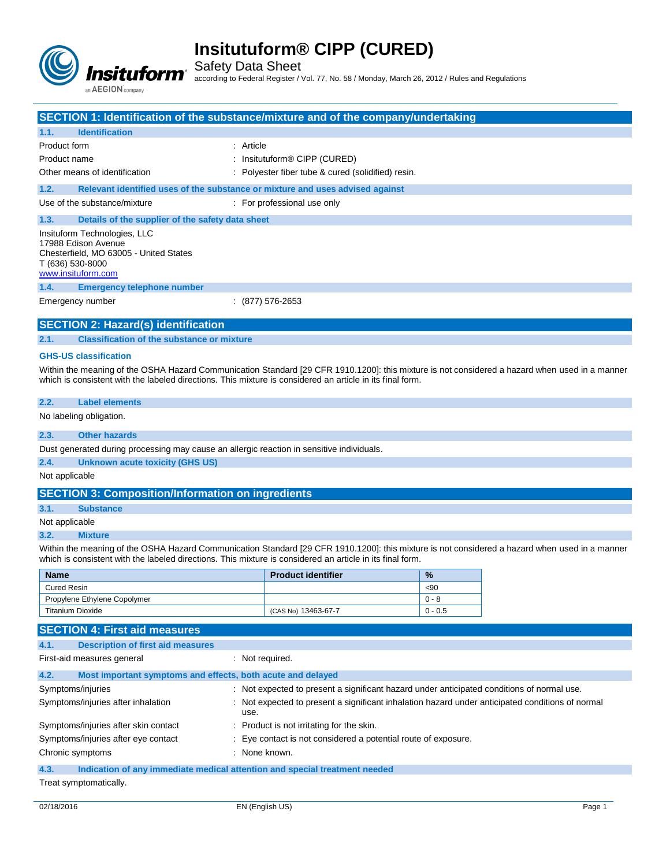

Safety Data Sheet

according to Federal Register / Vol. 77, No. 58 / Monday, March 26, 2012 / Rules and Regulations

| <b>SECTION 1: Identification of the substance/mixture and of the company/undertaking</b>                                                                                                                                                                    |                                                                                                        |           |  |
|-------------------------------------------------------------------------------------------------------------------------------------------------------------------------------------------------------------------------------------------------------------|--------------------------------------------------------------------------------------------------------|-----------|--|
| <b>Identification</b><br>1.1.                                                                                                                                                                                                                               |                                                                                                        |           |  |
| Product form                                                                                                                                                                                                                                                | : Article                                                                                              |           |  |
| Product name                                                                                                                                                                                                                                                | Insitutuform® CIPP (CURED)                                                                             |           |  |
| Other means of identification                                                                                                                                                                                                                               | Polyester fiber tube & cured (solidified) resin.                                                       |           |  |
| 1.2.<br>Relevant identified uses of the substance or mixture and uses advised against                                                                                                                                                                       |                                                                                                        |           |  |
| Use of the substance/mixture                                                                                                                                                                                                                                | : For professional use only                                                                            |           |  |
| 1.3.<br>Details of the supplier of the safety data sheet                                                                                                                                                                                                    |                                                                                                        |           |  |
| Insituform Technologies, LLC<br>17988 Edison Avenue<br>Chesterfield, MO 63005 - United States<br>T (636) 530-8000<br>www.insituform.com                                                                                                                     |                                                                                                        |           |  |
| 1.4.<br><b>Emergency telephone number</b>                                                                                                                                                                                                                   |                                                                                                        |           |  |
| Emergency number                                                                                                                                                                                                                                            | : (877) 576-2653                                                                                       |           |  |
|                                                                                                                                                                                                                                                             |                                                                                                        |           |  |
| <b>SECTION 2: Hazard(s) identification</b>                                                                                                                                                                                                                  |                                                                                                        |           |  |
| <b>Classification of the substance or mixture</b><br>2.1.                                                                                                                                                                                                   |                                                                                                        |           |  |
| <b>GHS-US classification</b>                                                                                                                                                                                                                                |                                                                                                        |           |  |
| Within the meaning of the OSHA Hazard Communication Standard [29 CFR 1910.1200]: this mixture is not considered a hazard when used in a manner<br>which is consistent with the labeled directions. This mixture is considered an article in its final form. |                                                                                                        |           |  |
| 2.2.<br><b>Label elements</b>                                                                                                                                                                                                                               |                                                                                                        |           |  |
| No labeling obligation.                                                                                                                                                                                                                                     |                                                                                                        |           |  |
| <b>Other hazards</b><br>2.3.                                                                                                                                                                                                                                |                                                                                                        |           |  |
| Dust generated during processing may cause an allergic reaction in sensitive individuals.                                                                                                                                                                   |                                                                                                        |           |  |
| 2.4.<br><b>Unknown acute toxicity (GHS US)</b>                                                                                                                                                                                                              |                                                                                                        |           |  |
| Not applicable                                                                                                                                                                                                                                              |                                                                                                        |           |  |
| <b>SECTION 3: Composition/Information on ingredients</b>                                                                                                                                                                                                    |                                                                                                        |           |  |
| 3.1.<br><b>Substance</b>                                                                                                                                                                                                                                    |                                                                                                        |           |  |
| Not applicable                                                                                                                                                                                                                                              |                                                                                                        |           |  |
| 3.2.<br><b>Mixture</b>                                                                                                                                                                                                                                      |                                                                                                        |           |  |
| Within the meaning of the OSHA Hazard Communication Standard [29 CFR 1910.1200]: this mixture is not considered a hazard when used in a manner<br>which is consistent with the labeled directions. This mixture is considered an article in its final form. |                                                                                                        |           |  |
| <b>Name</b>                                                                                                                                                                                                                                                 | <b>Product identifier</b>                                                                              | %         |  |
| <b>Cured Resin</b>                                                                                                                                                                                                                                          |                                                                                                        | <90       |  |
| Propylene Ethylene Copolymer                                                                                                                                                                                                                                |                                                                                                        | $0 - 8$   |  |
| <b>Titanium Dioxide</b>                                                                                                                                                                                                                                     | (CAS No) 13463-67-7                                                                                    | $0 - 0.5$ |  |
| <b>SECTION 4: First aid measures</b>                                                                                                                                                                                                                        |                                                                                                        |           |  |
| 4.1.<br><b>Description of first aid measures</b>                                                                                                                                                                                                            |                                                                                                        |           |  |
| First-aid measures general                                                                                                                                                                                                                                  | : Not required.                                                                                        |           |  |
| 4.2.<br>Most important symptoms and effects, both acute and delayed                                                                                                                                                                                         |                                                                                                        |           |  |
| Symptoms/injuries                                                                                                                                                                                                                                           | : Not expected to present a significant hazard under anticipated conditions of normal use.             |           |  |
| Symptoms/injuries after inhalation                                                                                                                                                                                                                          | Not expected to present a significant inhalation hazard under anticipated conditions of normal<br>use. |           |  |
| Symptoms/injuries after skin contact                                                                                                                                                                                                                        | Product is not irritating for the skin.                                                                |           |  |
| Symptoms/injuries after eye contact                                                                                                                                                                                                                         | Eye contact is not considered a potential route of exposure.                                           |           |  |
| Chronic symptoms                                                                                                                                                                                                                                            | None known.                                                                                            |           |  |

**4.3. Indication of any immediate medical attention and special treatment needed**

Treat symptomatically.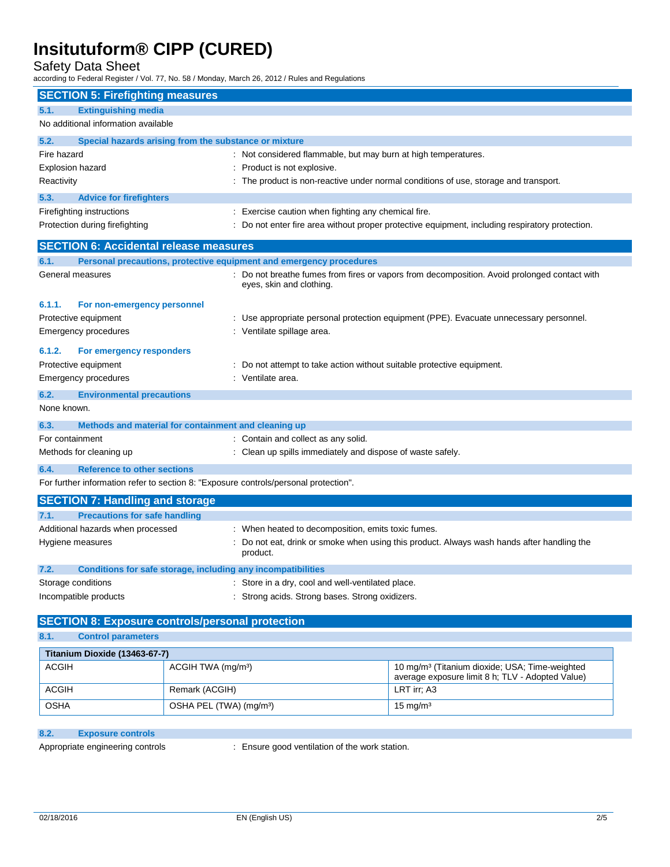## Safety Data Sheet

according to Federal Register / Vol. 77, No. 58 / Monday, March 26, 2012 / Rules and Regulations

|                         | <b>SECTION 5: Firefighting measures</b>                                              |                                                                                               |
|-------------------------|--------------------------------------------------------------------------------------|-----------------------------------------------------------------------------------------------|
| 5.1.                    | <b>Extinguishing media</b>                                                           |                                                                                               |
|                         | No additional information available                                                  |                                                                                               |
| 5.2.                    | Special hazards arising from the substance or mixture                                |                                                                                               |
| Fire hazard             |                                                                                      | : Not considered flammable, but may burn at high temperatures.                                |
| <b>Explosion hazard</b> |                                                                                      | Product is not explosive.                                                                     |
| Reactivity              |                                                                                      | : The product is non-reactive under normal conditions of use, storage and transport.          |
| 5.3.                    | <b>Advice for firefighters</b>                                                       |                                                                                               |
|                         | Firefighting instructions                                                            | : Exercise caution when fighting any chemical fire.                                           |
|                         | Protection during firefighting                                                       | Do not enter fire area without proper protective equipment, including respiratory protection. |
|                         | <b>SECTION 6: Accidental release measures</b>                                        |                                                                                               |
| 6.1.                    | Personal precautions, protective equipment and emergency procedures                  |                                                                                               |
|                         | General measures                                                                     | : Do not breathe fumes from fires or vapors from decomposition. Avoid prolonged contact with  |
|                         |                                                                                      | eyes, skin and clothing.                                                                      |
| 6.1.1.                  | For non-emergency personnel                                                          |                                                                                               |
|                         | Protective equipment                                                                 | : Use appropriate personal protection equipment (PPE). Evacuate unnecessary personnel.        |
|                         | <b>Emergency procedures</b>                                                          | Ventilate spillage area.                                                                      |
| 6.1.2.                  | For emergency responders                                                             |                                                                                               |
|                         | Protective equipment                                                                 | Do not attempt to take action without suitable protective equipment.                          |
|                         | Emergency procedures                                                                 | : Ventilate area.                                                                             |
| 6.2.                    | <b>Environmental precautions</b>                                                     |                                                                                               |
| None known.             |                                                                                      |                                                                                               |
| 6.3.                    | Methods and material for containment and cleaning up                                 |                                                                                               |
| For containment         |                                                                                      | : Contain and collect as any solid.                                                           |
|                         | Methods for cleaning up                                                              | : Clean up spills immediately and dispose of waste safely.                                    |
| 6.4.                    | <b>Reference to other sections</b>                                                   |                                                                                               |
|                         | For further information refer to section 8: "Exposure controls/personal protection". |                                                                                               |
|                         | <b>SECTION 7: Handling and storage</b>                                               |                                                                                               |
| 7.1.                    | <b>Precautions for safe handling</b>                                                 |                                                                                               |
|                         | Additional hazards when processed                                                    | When heated to decomposition, emits toxic fumes.                                              |
|                         | Hygiene measures                                                                     | : Do not eat, drink or smoke when using this product. Always wash hands after handling the    |
|                         |                                                                                      | product.                                                                                      |
| 7.2.                    | Conditions for safe storage, including any incompatibilities                         |                                                                                               |
|                         | Storage conditions                                                                   | : Store in a dry, cool and well-ventilated place.                                             |
|                         | Incompatible products                                                                | : Strong acids. Strong bases. Strong oxidizers.                                               |
|                         | <b>SECTION 8: Exposure controls/personal protection</b>                              |                                                                                               |
| 8.1.                    | <b>Control parameters</b>                                                            |                                                                                               |
|                         |                                                                                      |                                                                                               |

| Titanium Dioxide (13463-67-7) |                                     |                                                                                                                |  |
|-------------------------------|-------------------------------------|----------------------------------------------------------------------------------------------------------------|--|
| <b>ACGIH</b>                  | ACGIH TWA (mg/m <sup>3</sup> )      | 10 mg/m <sup>3</sup> (Titanium dioxide; USA; Time-weighted<br>average exposure limit 8 h; TLV - Adopted Value) |  |
| <b>ACGIH</b>                  | Remark (ACGIH)                      | LRT irr: A3                                                                                                    |  |
| <b>OSHA</b>                   | OSHA PEL (TWA) (mg/m <sup>3</sup> ) | $15 \text{ mg/m}^3$                                                                                            |  |

## **8.2. Exposure controls**

Appropriate engineering controls : Ensure good ventilation of the work station.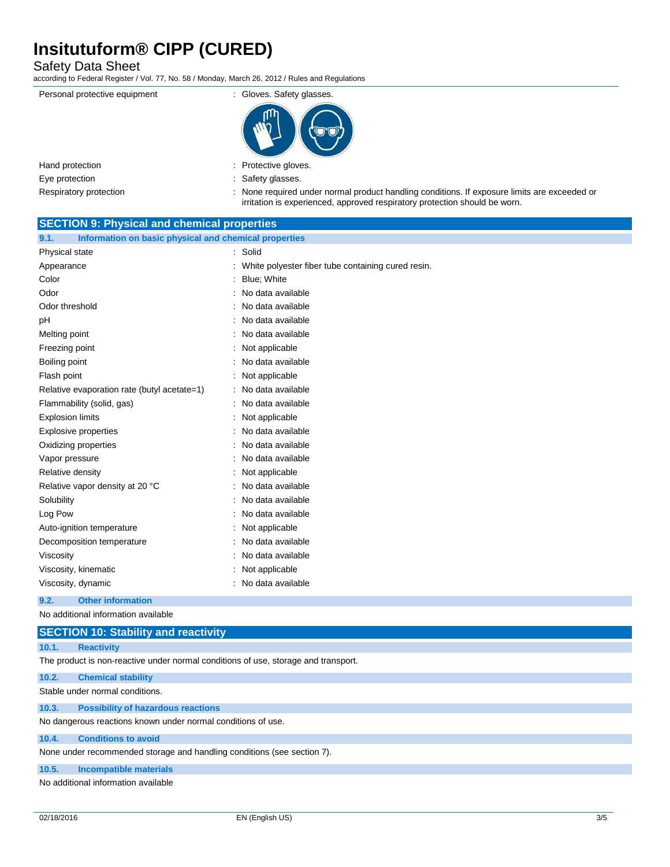Safety Data Sheet

according to Federal Register / Vol. 77, No. 58 / Monday, March 26, 2012 / Rules and Regulations

Personal protective equipment : Gloves. Safety glasses.



| Hand protection                |  |  |
|--------------------------------|--|--|
| Eye protection                 |  |  |
| Expedience and an anti-setting |  |  |

: Protective gloves.

: Safety glasses.

Respiratory protection : None required under normal product handling conditions. If exposure limits are exceeded or irritation is experienced, approved respiratory protection should be worn.

| <b>SECTION 9: Physical and chemical properties</b>            |                                                    |  |
|---------------------------------------------------------------|----------------------------------------------------|--|
| 9.1.<br>Information on basic physical and chemical properties |                                                    |  |
| Physical state                                                | Solid                                              |  |
| Appearance                                                    | White polyester fiber tube containing cured resin. |  |
| Color                                                         | Blue; White                                        |  |
| Odor                                                          | No data available                                  |  |
| Odor threshold                                                | No data available                                  |  |
| рH                                                            | No data available                                  |  |
| Melting point                                                 | No data available                                  |  |
| Freezing point                                                | Not applicable                                     |  |
| Boiling point                                                 | No data available                                  |  |
| Flash point                                                   | Not applicable                                     |  |
| Relative evaporation rate (butyl acetate=1)                   | No data available                                  |  |
| Flammability (solid, gas)                                     | No data available                                  |  |
| <b>Explosion limits</b>                                       | Not applicable                                     |  |
| <b>Explosive properties</b>                                   | No data available                                  |  |
| Oxidizing properties                                          | No data available                                  |  |
| Vapor pressure                                                | No data available                                  |  |
| Relative density                                              | Not applicable                                     |  |
| Relative vapor density at 20 °C                               | No data available                                  |  |
| Solubility                                                    | No data available                                  |  |
| Log Pow                                                       | No data available                                  |  |
| Auto-ignition temperature                                     | Not applicable                                     |  |
| Decomposition temperature                                     | No data available                                  |  |
| Viscosity                                                     | No data available                                  |  |
| Viscosity, kinematic                                          | Not applicable                                     |  |
| Viscosity, dynamic                                            | No data available                                  |  |
| 9.2.<br><b>Other information</b>                              |                                                    |  |
| No additional information available                           |                                                    |  |

## **SECTION 10: Stability and reactivity**

**10.1. Reactivity**

The product is non-reactive under normal conditions of use, storage and transport.

### **10.2. Chemical stability**

Stable under normal conditions.

### **10.3. Possibility of hazardous reactions**

No dangerous reactions known under normal conditions of use.

## **10.4. Conditions to avoid**

None under recommended storage and handling conditions (see section 7).

### **10.5. Incompatible materials**

No additional information available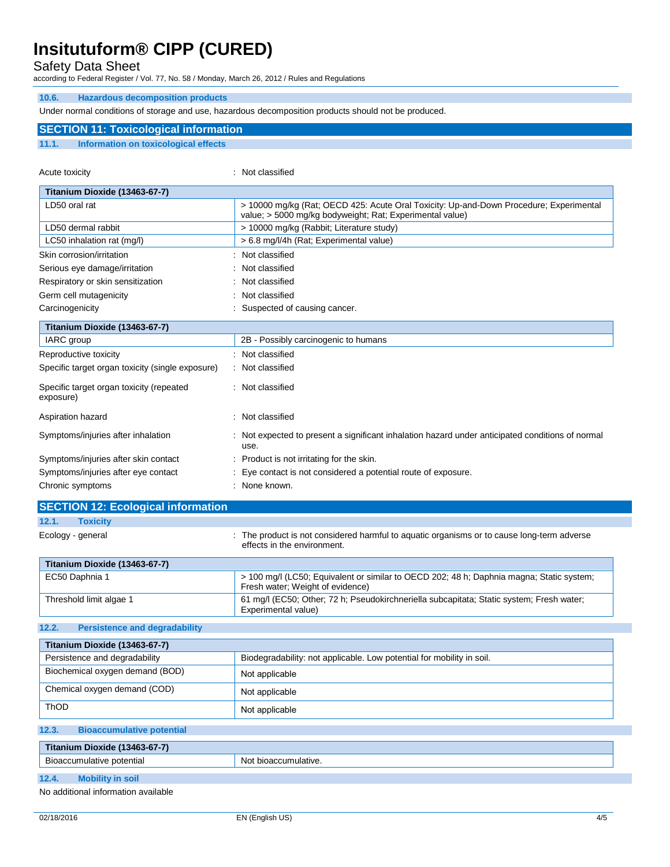Safety Data Sheet

according to Federal Register / Vol. 77, No. 58 / Monday, March 26, 2012 / Rules and Regulations

### **10.6. Hazardous decomposition products**

**SECTION 11: Toxicological information**

Under normal conditions of storage and use, hazardous decomposition products should not be produced.

| 11.1.<br>Information on toxicological effects         |                                                                                                                                                    |
|-------------------------------------------------------|----------------------------------------------------------------------------------------------------------------------------------------------------|
|                                                       |                                                                                                                                                    |
| Acute toxicity                                        | Not classified<br>٠                                                                                                                                |
| Titanium Dioxide (13463-67-7)                         |                                                                                                                                                    |
| LD50 oral rat                                         | > 10000 mg/kg (Rat; OECD 425: Acute Oral Toxicity: Up-and-Down Procedure; Experimental<br>value; > 5000 mg/kg bodyweight; Rat; Experimental value) |
| LD50 dermal rabbit                                    | > 10000 mg/kg (Rabbit; Literature study)                                                                                                           |
| LC50 inhalation rat (mg/l)                            | > 6.8 mg/l/4h (Rat; Experimental value)                                                                                                            |
| Skin corrosion/irritation                             | Not classified                                                                                                                                     |
| Serious eye damage/irritation                         | Not classified                                                                                                                                     |
| Respiratory or skin sensitization                     | Not classified                                                                                                                                     |
| Germ cell mutagenicity                                | Not classified                                                                                                                                     |
| Carcinogenicity                                       | Suspected of causing cancer.                                                                                                                       |
| Titanium Dioxide (13463-67-7)                         |                                                                                                                                                    |
| <b>IARC</b> group                                     | 2B - Possibly carcinogenic to humans                                                                                                               |
| Reproductive toxicity                                 | Not classified                                                                                                                                     |
| Specific target organ toxicity (single exposure)      | Not classified                                                                                                                                     |
| Specific target organ toxicity (repeated<br>exposure) | Not classified                                                                                                                                     |
| Aspiration hazard                                     | Not classified                                                                                                                                     |
| Symptoms/injuries after inhalation                    | Not expected to present a significant inhalation hazard under anticipated conditions of normal<br>use.                                             |
| Symptoms/injuries after skin contact                  | Product is not irritating for the skin.                                                                                                            |
| Symptoms/injuries after eye contact                   | Eye contact is not considered a potential route of exposure.                                                                                       |
| Chronic symptoms                                      | None known.                                                                                                                                        |
| <b>SECTION 12: Ecological information</b>             |                                                                                                                                                    |
| 12.1.<br><b>Toxicity</b>                              |                                                                                                                                                    |

Ecology - general **interproduct is not considered harmful to aquatic organisms or to cause long-term adverse** effects in the environment. **Titanium Dioxide (13463-67-7)** EC50 Daphnia 1 > 100 mg/l (LC50; Equivalent or similar to OECD 202; 48 h; Daphnia magna; Static system; Fresh water; Weight of evidence) Threshold limit algae 1 61 mg/l (EC50; Other; 72 h; Pseudokirchneriella subcapitata; Static system; Fresh water; Experimental value)

#### **12.2. Persistence and degradability**

| Titanium Dioxide (13463-67-7)             |                                                                       |  |
|-------------------------------------------|-----------------------------------------------------------------------|--|
| Persistence and degradability             | Biodegradability: not applicable. Low potential for mobility in soil. |  |
| Biochemical oxygen demand (BOD)           | Not applicable                                                        |  |
| Chemical oxygen demand (COD)              | Not applicable                                                        |  |
| <b>ThOD</b>                               | Not applicable                                                        |  |
| 12.3.<br><b>Bioaccumulative potential</b> |                                                                       |  |
| Titanium Dioxide (13463-67-7)             |                                                                       |  |
| Bioaccumulative potential                 | Not bioaccumulative.                                                  |  |
| 12.4.<br><b>Mobility in soil</b>          |                                                                       |  |
|                                           |                                                                       |  |

No additional information available